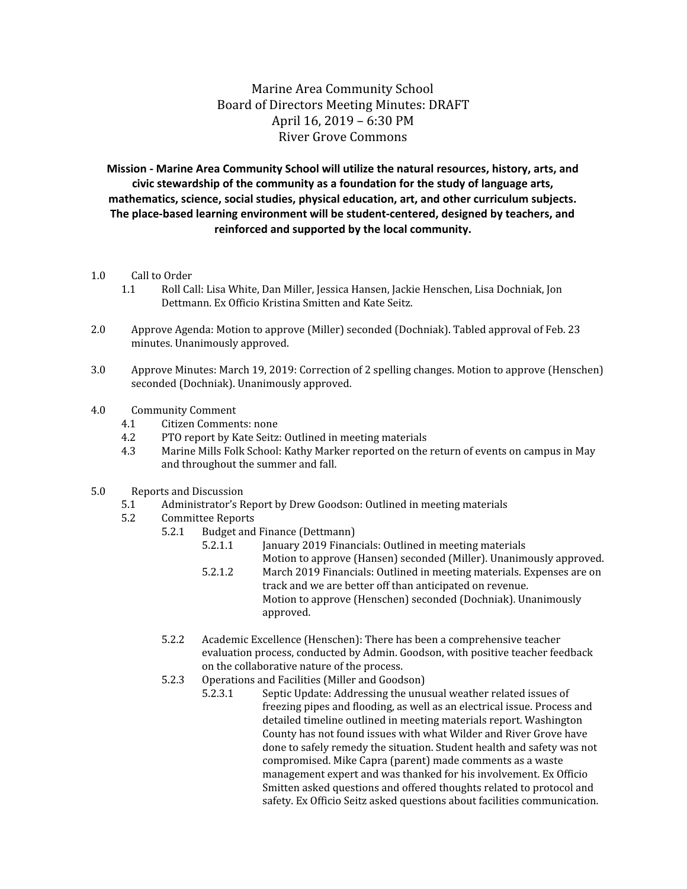Marine Area Community School Board of Directors Meeting Minutes: DRAFT April 16, 2019 – 6:30 PM River Grove Commons

**Mission - Marine Area Community School will utilize the natural resources, history, arts, and civic stewardship of the community as a foundation for the study of language arts, mathematics, science, social studies, physical education, art, and other curriculum subjects. The place-based learning environment will be student-centered, designed by teachers, and reinforced and supported by the local community.**

- 1.0 Call to Order
	- 1.1 Roll Call: Lisa White, Dan Miller, Jessica Hansen, Jackie Henschen, Lisa Dochniak, Jon Dettmann. Ex Officio Kristina Smitten and Kate Seitz.
- 2.0 Approve Agenda: Motion to approve (Miller) seconded (Dochniak). Tabled approval of Feb. 23 minutes. Unanimously approved.
- 3.0 Approve Minutes: March 19, 2019: Correction of 2 spelling changes. Motion to approve (Henschen) seconded (Dochniak). Unanimously approved.
- 4.0 Community Comment
	- 4.1 Citizen Comments: none
	- 4.2 PTO report by Kate Seitz: Outlined in meeting materials
	- 4.3 Marine Mills Folk School: Kathy Marker reported on the return of events on campus in May and throughout the summer and fall.
- 5.0 Reports and Discussion
	- 5.1 Administrator's Report by Drew Goodson: Outlined in meeting materials
	- 5.2 Committee Reports
		- 5.2.1 Budget and Finance (Dettmann)
			- 5.2.1.1 January 2019 Financials: Outlined in meeting materials Motion to approve (Hansen) seconded (Miller). Unanimously approved.
			- 5.2.1.2 March 2019 Financials: Outlined in meeting materials. Expenses are on track and we are better off than anticipated on revenue. Motion to approve (Henschen) seconded (Dochniak). Unanimously approved.
		- 5.2.2 Academic Excellence (Henschen): There has been a comprehensive teacher evaluation process, conducted by Admin. Goodson, with positive teacher feedback on the collaborative nature of the process.
		- 5.2.3 Operations and Facilities (Miller and Goodson)
			- 5.2.3.1 Septic Update: Addressing the unusual weather related issues of freezing pipes and flooding, as well as an electrical issue. Process and detailed timeline outlined in meeting materials report. Washington County has not found issues with what Wilder and River Grove have done to safely remedy the situation. Student health and safety was not compromised. Mike Capra (parent) made comments as a waste management expert and was thanked for his involvement. Ex Officio Smitten asked questions and offered thoughts related to protocol and safety. Ex Officio Seitz asked questions about facilities communication.